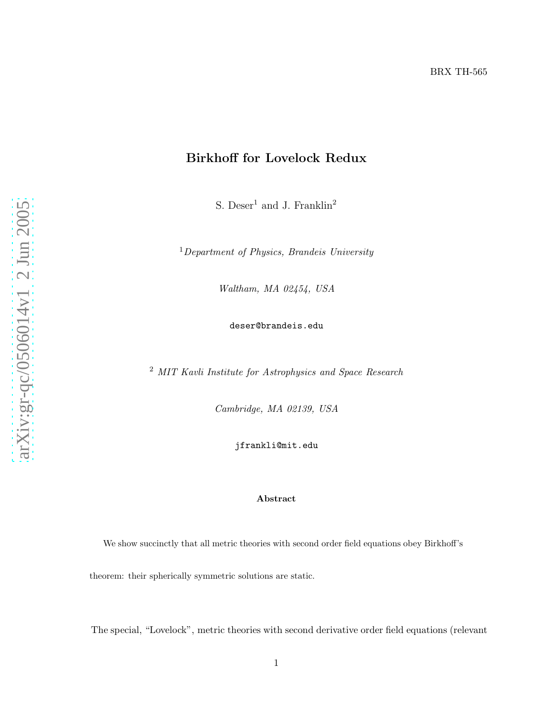## Birkhoff for Lovelock Redux

S. Deser<sup>1</sup> and J. Franklin<sup>2</sup>

<sup>1</sup>Department of Physics, Brandeis University

Waltham, MA 02454, USA

deser@brandeis.edu

<sup>2</sup> MIT Kavli Institute for Astrophysics and Space Research

Cambridge, MA 02139, USA

jfrankli@mit.edu

## Abstract

We show succinctly that all metric theories with second order field equations obey Birkhoff's theorem: their spherically symmetric solutions are static .

The special, "Lovelock", metric theories with second derivative order field equations (relevant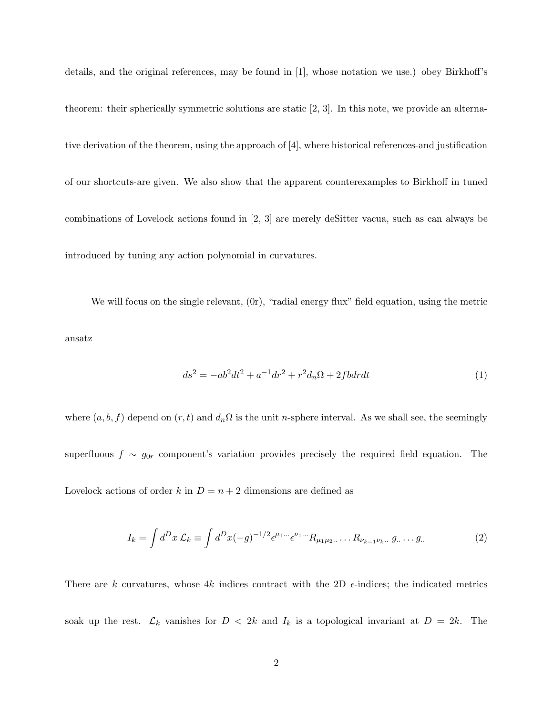details, and the original references, may be found in [1], whose notation we use.) obey Birkhoff's theorem: their spherically symmetric solutions are static [2, 3]. In this note, we provide an alternative derivation of the theorem, using the approach of [4], where historical references-and justification of our shortcuts-are given. We also show that the apparent counterexamples to Birkhoff in tuned combinations of Lovelock actions found in [2, 3] are merely deSitter vacua, such as can always be introduced by tuning any action polynomial in curvatures.

We will focus on the single relevant, (0r), "radial energy flux" field equation, using the metric ansatz

$$
ds^{2} = -ab^{2}dt^{2} + a^{-1}dr^{2} + r^{2}d_{n}\Omega + 2fd\theta dt
$$
\n(1)

where  $(a,b,f)$  depend on  $(r,t)$  and  $d_n\Omega$  is the unit n-sphere interval. As we shall see, the seemingly

superfluous  $f \sim g_{0r}$  component's variation provides precisely the required field equation. The

Lovelock actions of order k in  $D = n + 2$  dimensions are defined as

$$
I_k = \int d^D x \, \mathcal{L}_k \equiv \int d^D x (-g)^{-1/2} \epsilon^{\mu_1 \dots} \epsilon^{\nu_1 \dots} R_{\mu_1 \mu_2 \dots} \dots R_{\nu_{k-1} \nu_k \dots} g \dots \dots g \, . \tag{2}
$$

There are k curvatures, whose 4k indices contract with the 2D  $\epsilon$ -indices; the indicated metrics soak up the rest.  $\mathcal{L}_k$  vanishes for  $D < 2k$  and  $I_k$  is a topological invariant at  $D = 2k$ . The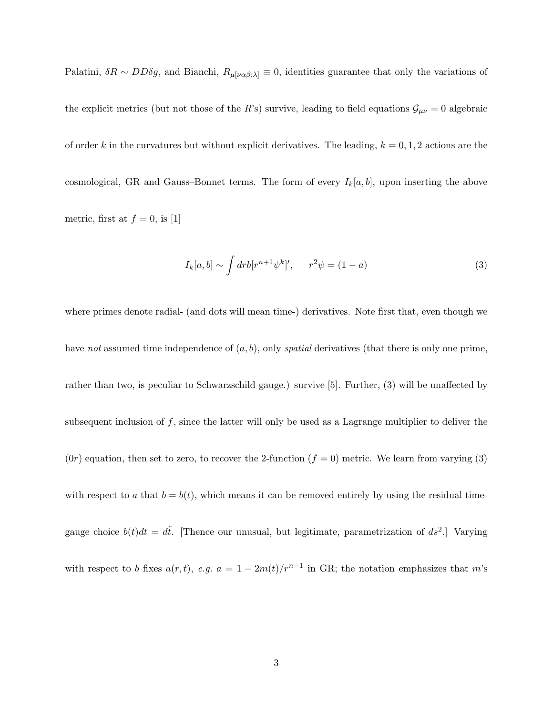Palatini,  $\delta R \sim DD\delta g$ , and Bianchi,  $R_{\mu[\nu\alpha\beta;\lambda]} \equiv 0$ , identities guarantee that only the variations of the explicit metrics (but not those of the R's) survive, leading to field equations  $\mathcal{G}_{\mu\nu} = 0$  algebraic of order k in the curvatures but without explicit derivatives. The leading,  $k = 0, 1, 2$  actions are the cosmological, GR and Gauss–Bonnet terms. The form of every  $I_k[a,b]$ , upon inserting the above metric, first at  $f = 0$ , is [1]

$$
I_k[a,b] \sim \int dr b[r^{n+1}\psi^k]', \qquad r^2\psi = (1-a)
$$
\n(3)

where primes denote radial- (and dots will mean time-) derivatives. Note first that, even though we have not assumed time independence of  $(a, b)$ , only spatial derivatives (that there is only one prime, rather than two, is peculiar to Schwarzschild gauge.) survive [5]. Further, (3) will be unaffected by subsequent inclusion of  $f$ , since the latter will only be used as a Lagrange multiplier to deliver the  $(0r)$  equation, then set to zero, to recover the 2-function  $(f = 0)$  metric. We learn from varying (3) with respect to a that  $b = b(t)$ , which means it can be removed entirely by using the residual timegauge choice  $b(t)dt = d\tilde{t}$ . [Thence our unusual, but legitimate, parametrization of  $ds^2$ .] Varying with respect to b fixes  $a(r,t)$ , e.g.  $a = 1 - 2m(t)/r^{n-1}$  in GR; the notation emphasizes that m's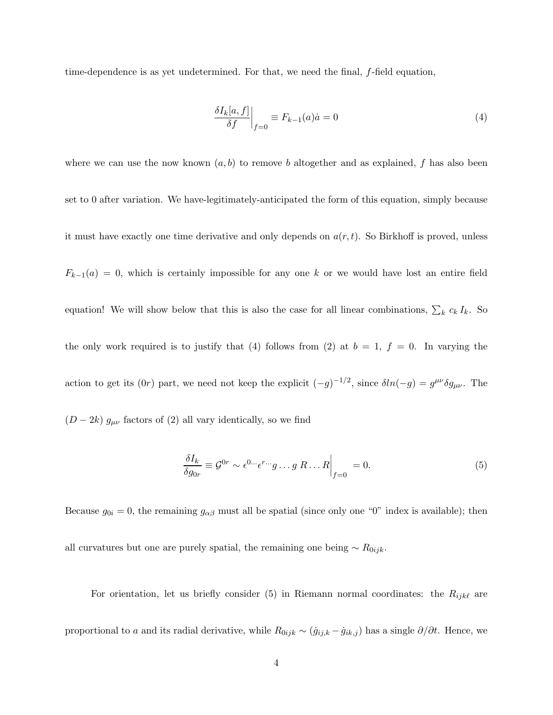time-dependence is as yet undetermined. For that, we need the final, f-field equation,

$$
\left. \frac{\delta I_k[a, f]}{\delta f} \right|_{f=0} \equiv F_{k-1}(a)\dot{a} = 0 \tag{4}
$$

where we can use the now known  $(a, b)$  to remove b altogether and as explained, f has also been set to 0 after variation. We have-legitimately-anticipated the form of this equation, simply because it must have exactly one time derivative and only depends on  $a(r,t)$ . So Birkhoff is proved, unless  $F_{k-1}(a) = 0$ , which is certainly impossible for any one k or we would have lost an entire field equation! We will show below that this is also the case for all linear combinations,  $\sum_k c_k I_k$ . So the only work required is to justify that (4) follows from (2) at  $b = 1$ ,  $f = 0$ . In varying the action to get its  $(0r)$  part, we need not keep the explicit  $(-g)^{-1/2}$ , since  $\delta ln(-g) = g^{\mu\nu}\delta g_{\mu\nu}$ . The  $(D - 2k)$   $g_{\mu\nu}$  factors of (2) all vary identically, so we find

$$
\frac{\delta I_k}{\delta g_{0r}} \equiv \mathcal{G}^{0r} \sim \epsilon^{0\cdots} \epsilon^{r\cdots} g \ldots g R \ldots R \Big|_{f=0} = 0. \tag{5}
$$

Because  $g_{0i} = 0$ , the remaining  $g_{\alpha\beta}$  must all be spatial (since only one "0" index is available); then all curvatures but one are purely spatial, the remaining one being  $\sim R_{0ijk}$ .

For orientation, let us briefly consider (5) in Riemann normal coordinates: the  $R_{ijk\ell}$  are proportional to a and its radial derivative, while  $R_{0ijk} \sim (\dot{g}_{ij,k} - \dot{g}_{ik,j})$  has a single  $\partial/\partial t$ . Hence, we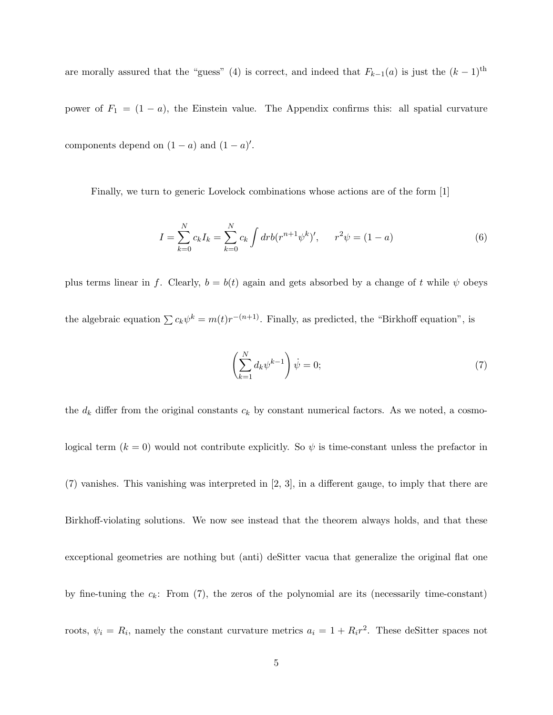are morally assured that the "guess" (4) is correct, and indeed that  $F_{k-1}(a)$  is just the  $(k-1)$ <sup>th</sup>

power of  $F_1 = (1 - a)$ , the Einstein value. The Appendix confirms this: all spatial curvature components depend on  $(1 - a)$  and  $(1 - a)'$ .

Finally, we turn to generic Lovelock combinations whose actions are of the form [1]

$$
I = \sum_{k=0}^{N} c_k I_k = \sum_{k=0}^{N} c_k \int dr b(r^{n+1} \psi^k)', \qquad r^2 \psi = (1 - a)
$$
 (6)

plus terms linear in f. Clearly,  $b = b(t)$  again and gets absorbed by a change of t while  $\psi$  obeys the algebraic equation  $\sum c_k \psi^k = m(t)r^{-(n+1)}$ . Finally, as predicted, the "Birkhoff equation", is

$$
\left(\sum_{k=1}^{N} d_k \psi^{k-1}\right) \dot{\psi} = 0; \tag{7}
$$

the  $d_k$  differ from the original constants  $c_k$  by constant numerical factors. As we noted, a cosmological term  $(k = 0)$  would not contribute explicitly. So  $\psi$  is time-constant unless the prefactor in

(7) vanishes. This vanishing was interpreted in [2, 3], in a different gauge, to imply that there are

Birkhoff-violating solutions. We now see instead that the theorem always holds, and that these

exceptional geometries are nothing but (anti) deSitter vacua that generalize the original flat one

by fine-tuning the  $c_k$ : From (7), the zeros of the polynomial are its (necessarily time-constant)

roots,  $\psi_i = R_i$ , namely the constant curvature metrics  $a_i = 1 + R_i r^2$ . These deSitter spaces not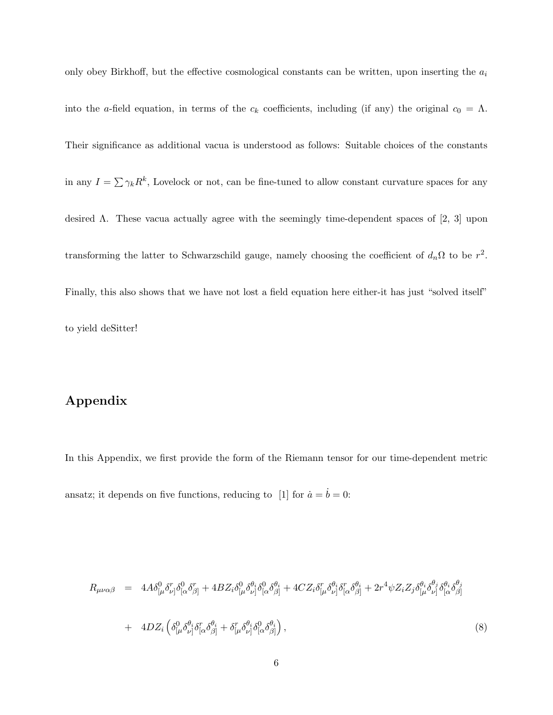only obey Birkhoff, but the effective cosmological constants can be written, upon inserting the  $a_i$ into the a-field equation, in terms of the  $c_k$  coefficients, including (if any) the original  $c_0 = \Lambda$ . Their significance as additional vacua is understood as follows: Suitable choices of the constants in any  $I = \sum \gamma_k R^k$ , Lovelock or not, can be fine-tuned to allow constant curvature spaces for any desired Λ. These vacua actually agree with the seemingly time-dependent spaces of [2, 3] upon transforming the latter to Schwarzschild gauge, namely choosing the coefficient of  $d_n\Omega$  to be  $r^2$ . Finally, this also shows that we have not lost a field equation here either-it has just "solved itself" to yield deSitter!

## Appendix

In this Appendix, we first provide the form of the Riemann tensor for our time-dependent metric ansatz; it depends on five functions, reducing to [1] for  $\dot{a} = \dot{b} = 0$ :

$$
R_{\mu\nu\alpha\beta} = 4A\delta_{\lbrack\mu}^{0}\delta_{\nu\rbrack}^{r}\delta_{\lbrack\alpha}^{0}\delta_{\beta\rbrack}^{r} + 4BZ_{i}\delta_{\lbrack\mu}^{0}\delta_{\nu\rbrack}^{0}\delta_{\lbrack\alpha}^{\theta}\delta_{\beta\rbrack}^{4} + 4CZ_{i}\delta_{\lbrack\mu}^{r}\delta_{\nu\rbrack}^{0}\delta_{\lbrack\alpha}^{r}\delta_{\beta\rbrack}^{4} + 2r^{4}\psi Z_{i}Z_{j}\delta_{\lbrack\mu}^{\theta}\delta_{\nu\rbrack}^{0}\delta_{\lbrack\alpha}^{\theta}\delta_{\beta\rbrack}^{4} + 4DZ_{i}\left(\delta_{\lbrack\mu}^{0}\delta_{\nu\rbrack}^{\theta} \delta_{\lbrack\alpha}^{\alpha}\delta_{\beta\rbrack}^{4} + \delta_{\lbrack\mu}^{r}\delta_{\nu\rbrack}^{\theta} \delta_{\lbrack\alpha}^{\theta}\delta_{\beta\rbrack}^{4}\right), \tag{8}
$$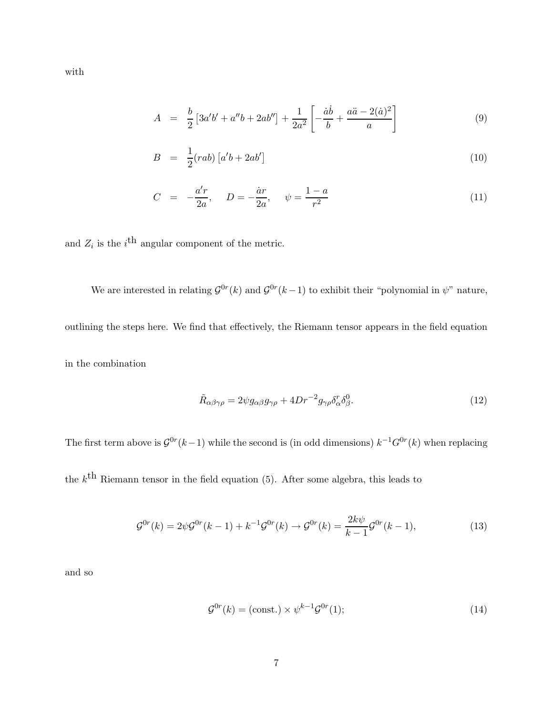$A = \frac{b}{2}$  $\frac{b}{2}[3a'b' + a''b + 2ab''] + \frac{1}{2a}$  $2a^2$  $\sqrt{ }$ −  $\dot a \dot b$  $\frac{a\ddot{b}}{b} + \frac{a\ddot{a} - 2(\dot{a})^2}{a}$ a 1

$$
B = \frac{1}{2}(rab) \left[ a'b + 2ab' \right] \tag{10}
$$

(9)

$$
C = -\frac{a'r}{2a}, \quad D = -\frac{\dot{a}r}{2a}, \quad \psi = \frac{1-a}{r^2}
$$
 (11)

and  $Z_i$  is the  $i^{\text{th}}$  angular component of the metric.

We are interested in relating  $\mathcal{G}^{0r}(k)$  and  $\mathcal{G}^{0r}(k-1)$  to exhibit their "polynomial in  $\psi$ " nature, outlining the steps here. We find that effectively, the Riemann tensor appears in the field equation in the combination

$$
\tilde{R}_{\alpha\beta\gamma\rho} = 2\psi g_{\alpha\beta} g_{\gamma\rho} + 4Dr^{-2} g_{\gamma\rho} \delta^r_{\alpha} \delta^0_{\beta}.
$$
\n(12)

The first term above is  $\mathcal{G}^{0r}(k-1)$  while the second is (in odd dimensions)  $k^{-1}G^{0r}(k)$  when replacing

the  $k^{\text{th}}$  Riemann tensor in the field equation (5). After some algebra, this leads to

$$
\mathcal{G}^{0r}(k) = 2\psi \mathcal{G}^{0r}(k-1) + k^{-1} \mathcal{G}^{0r}(k) \to \mathcal{G}^{0r}(k) = \frac{2k\psi}{k-1} \mathcal{G}^{0r}(k-1),\tag{13}
$$

and so

$$
\mathcal{G}^{0r}(k) = \text{(const.)} \times \psi^{k-1} \mathcal{G}^{0r}(1); \tag{14}
$$

with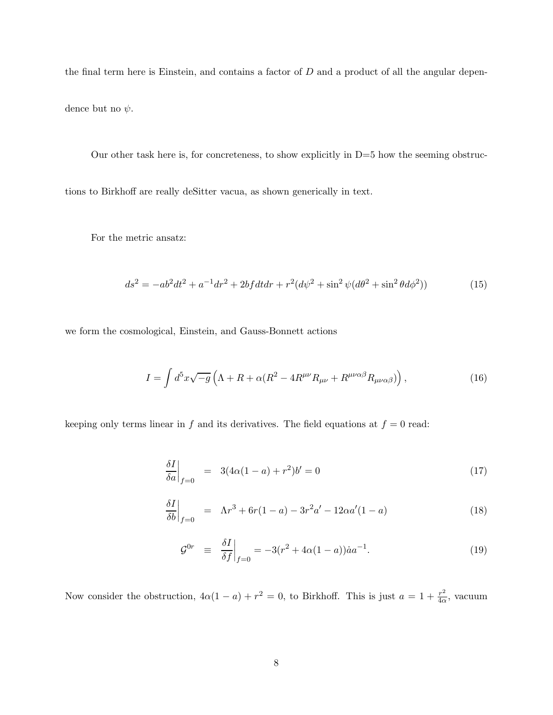the final term here is Einstein, and contains a factor of  $D$  and a product of all the angular dependence but no  $\psi$ .

Our other task here is, for concreteness, to show explicitly in  $D=5$  how the seeming obstructions to Birkhoff are really deSitter vacua, as shown generically in text.

For the metric ansatz:

$$
ds^{2} = -ab^{2}dt^{2} + a^{-1}dr^{2} + 2bf dtdr + r^{2}(d\psi^{2} + \sin^{2}\psi(d\theta^{2} + \sin^{2}\theta d\phi^{2}))
$$
\n(15)

we form the cosmological, Einstein, and Gauss-Bonnett actions

$$
I = \int d^5x \sqrt{-g} \left( \Lambda + R + \alpha (R^2 - 4R^{\mu\nu} R_{\mu\nu} + R^{\mu\nu\alpha\beta} R_{\mu\nu\alpha\beta}) \right), \tag{16}
$$

keeping only terms linear in  $f$  and its derivatives. The field equations at  $f = 0$  read:

$$
\left. \frac{\delta I}{\delta a} \right|_{f=0} = 3(4\alpha(1-a) + r^2)b' = 0 \tag{17}
$$

$$
\left. \frac{\delta I}{\delta b} \right|_{f=0} = \Lambda r^3 + 6r(1-a) - 3r^2 a' - 12\alpha a'(1-a) \tag{18}
$$

$$
\mathcal{G}^{0r} \equiv \left. \frac{\delta I}{\delta f} \right|_{f=0} = -3(r^2 + 4\alpha(1-a))\dot{a}a^{-1}.
$$
 (19)

Now consider the obstruction,  $4\alpha(1-a) + r^2 = 0$ , to Birkhoff. This is just  $a = 1 + \frac{r^2}{4\alpha}$  $rac{r^2}{4\alpha}$ , vacuum